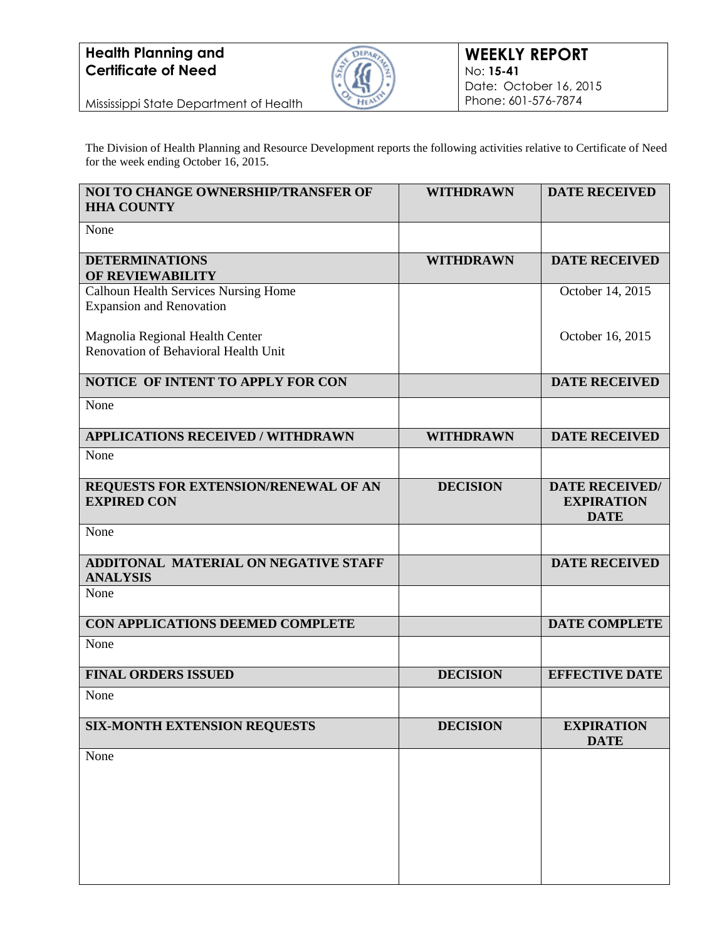

Mississippi State Department of Health

The Division of Health Planning and Resource Development reports the following activities relative to Certificate of Need for the week ending October 16, 2015.

| NOI TO CHANGE OWNERSHIP/TRANSFER OF<br><b>HHA COUNTY</b>                       | <b>WITHDRAWN</b> | <b>DATE RECEIVED</b>                                      |
|--------------------------------------------------------------------------------|------------------|-----------------------------------------------------------|
| None                                                                           |                  |                                                           |
| <b>DETERMINATIONS</b><br>OF REVIEWABILITY                                      | <b>WITHDRAWN</b> | <b>DATE RECEIVED</b>                                      |
| <b>Calhoun Health Services Nursing Home</b><br><b>Expansion and Renovation</b> |                  | October 14, 2015                                          |
| Magnolia Regional Health Center                                                |                  | October 16, 2015                                          |
| Renovation of Behavioral Health Unit                                           |                  |                                                           |
| NOTICE OF INTENT TO APPLY FOR CON                                              |                  | <b>DATE RECEIVED</b>                                      |
| None                                                                           |                  |                                                           |
| <b>APPLICATIONS RECEIVED / WITHDRAWN</b>                                       | <b>WITHDRAWN</b> | <b>DATE RECEIVED</b>                                      |
| None                                                                           |                  |                                                           |
| REQUESTS FOR EXTENSION/RENEWAL OF AN<br><b>EXPIRED CON</b>                     | <b>DECISION</b>  | <b>DATE RECEIVED/</b><br><b>EXPIRATION</b><br><b>DATE</b> |
| None                                                                           |                  |                                                           |
| <b>ADDITONAL MATERIAL ON NEGATIVE STAFF</b><br><b>ANALYSIS</b>                 |                  | <b>DATE RECEIVED</b>                                      |
| None                                                                           |                  |                                                           |
| CON APPLICATIONS DEEMED COMPLETE                                               |                  | <b>DATE COMPLETE</b>                                      |
| None                                                                           |                  |                                                           |
| <b>FINAL ORDERS ISSUED</b>                                                     | <b>DECISION</b>  | <b>EFFECTIVE DATE</b>                                     |
| None                                                                           |                  |                                                           |
| <b>SIX-MONTH EXTENSION REQUESTS</b>                                            | <b>DECISION</b>  | <b>EXPIRATION</b><br><b>DATE</b>                          |
| None                                                                           |                  |                                                           |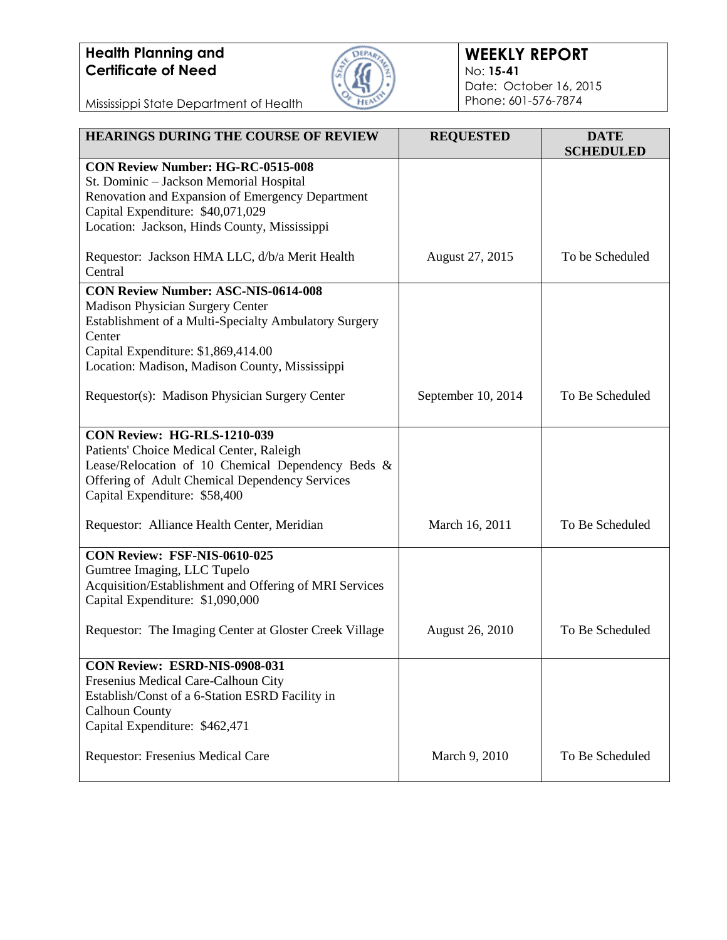

#### **WEEKLY REPORT** No: **15-41** Date: October 16, 2015 Phone: 601-576-7874

Mississippi State Department of Health

| <b>HEARINGS DURING THE COURSE OF REVIEW</b>                                                                                                                                                                                                       | <b>REQUESTED</b>       | <b>DATE</b><br><b>SCHEDULED</b> |
|---------------------------------------------------------------------------------------------------------------------------------------------------------------------------------------------------------------------------------------------------|------------------------|---------------------------------|
| <b>CON Review Number: HG-RC-0515-008</b><br>St. Dominic - Jackson Memorial Hospital<br>Renovation and Expansion of Emergency Department<br>Capital Expenditure: \$40,071,029<br>Location: Jackson, Hinds County, Mississippi                      |                        |                                 |
| Requestor: Jackson HMA LLC, d/b/a Merit Health<br>Central                                                                                                                                                                                         | August 27, 2015        | To be Scheduled                 |
| <b>CON Review Number: ASC-NIS-0614-008</b><br><b>Madison Physician Surgery Center</b><br>Establishment of a Multi-Specialty Ambulatory Surgery<br>Center<br>Capital Expenditure: \$1,869,414.00<br>Location: Madison, Madison County, Mississippi |                        |                                 |
| Requestor(s): Madison Physician Surgery Center                                                                                                                                                                                                    | September 10, 2014     | To Be Scheduled                 |
| <b>CON Review: HG-RLS-1210-039</b><br>Patients' Choice Medical Center, Raleigh<br>Lease/Relocation of 10 Chemical Dependency Beds &<br>Offering of Adult Chemical Dependency Services<br>Capital Expenditure: \$58,400                            |                        |                                 |
| Requestor: Alliance Health Center, Meridian                                                                                                                                                                                                       | March 16, 2011         | To Be Scheduled                 |
| CON Review: FSF-NIS-0610-025<br>Gumtree Imaging, LLC Tupelo<br>Acquisition/Establishment and Offering of MRI Services<br>Capital Expenditure: \$1,090,000                                                                                         |                        |                                 |
| Requestor: The Imaging Center at Gloster Creek Village                                                                                                                                                                                            | <b>August 26, 2010</b> | To Be Scheduled                 |
| CON Review: ESRD-NIS-0908-031<br>Fresenius Medical Care-Calhoun City<br>Establish/Const of a 6-Station ESRD Facility in<br><b>Calhoun County</b><br>Capital Expenditure: \$462,471                                                                |                        |                                 |
| Requestor: Fresenius Medical Care                                                                                                                                                                                                                 | March 9, 2010          | To Be Scheduled                 |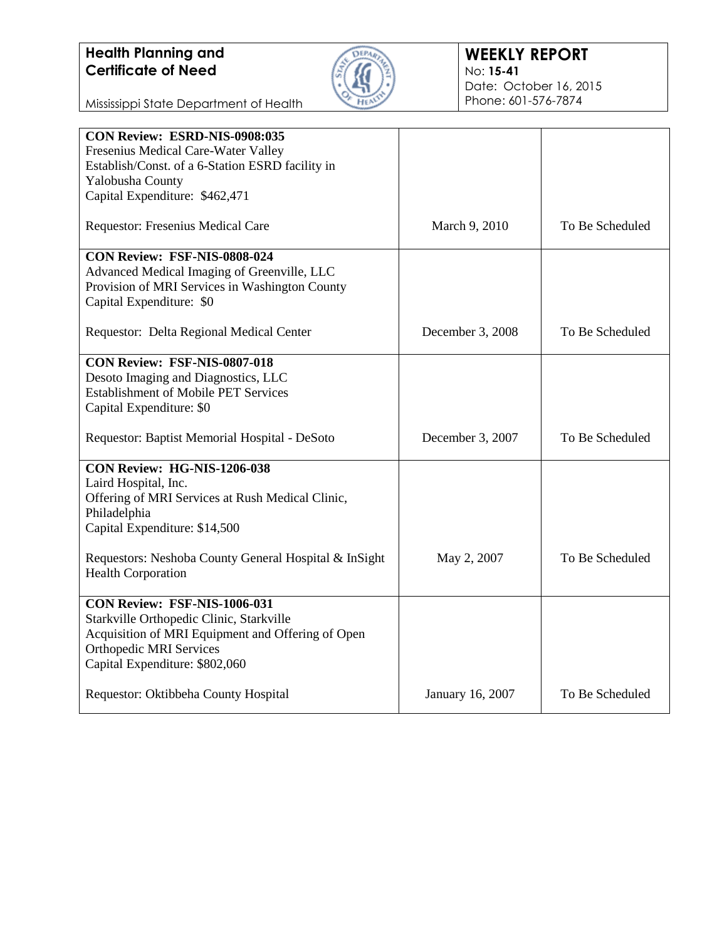

Mississippi State Department of Health

| CON Review: ESRD-NIS-0908:035                         |                  |                 |
|-------------------------------------------------------|------------------|-----------------|
| Fresenius Medical Care-Water Valley                   |                  |                 |
| Establish/Const. of a 6-Station ESRD facility in      |                  |                 |
| Yalobusha County                                      |                  |                 |
| Capital Expenditure: \$462,471                        |                  |                 |
| Requestor: Fresenius Medical Care                     | March 9, 2010    | To Be Scheduled |
| CON Review: FSF-NIS-0808-024                          |                  |                 |
| Advanced Medical Imaging of Greenville, LLC           |                  |                 |
| Provision of MRI Services in Washington County        |                  |                 |
| Capital Expenditure: \$0                              |                  |                 |
| Requestor: Delta Regional Medical Center              | December 3, 2008 | To Be Scheduled |
| <b>CON Review: FSF-NIS-0807-018</b>                   |                  |                 |
| Desoto Imaging and Diagnostics, LLC                   |                  |                 |
| <b>Establishment of Mobile PET Services</b>           |                  |                 |
| Capital Expenditure: \$0                              |                  |                 |
| Requestor: Baptist Memorial Hospital - DeSoto         | December 3, 2007 | To Be Scheduled |
| CON Review: HG-NIS-1206-038                           |                  |                 |
| Laird Hospital, Inc.                                  |                  |                 |
| Offering of MRI Services at Rush Medical Clinic,      |                  |                 |
| Philadelphia                                          |                  |                 |
| Capital Expenditure: \$14,500                         |                  |                 |
| Requestors: Neshoba County General Hospital & InSight | May 2, 2007      | To Be Scheduled |
| <b>Health Corporation</b>                             |                  |                 |
| CON Review: FSF-NIS-1006-031                          |                  |                 |
| Starkville Orthopedic Clinic, Starkville              |                  |                 |
| Acquisition of MRI Equipment and Offering of Open     |                  |                 |
| <b>Orthopedic MRI Services</b>                        |                  |                 |
| Capital Expenditure: \$802,060                        |                  |                 |
| Requestor: Oktibbeha County Hospital                  | January 16, 2007 | To Be Scheduled |